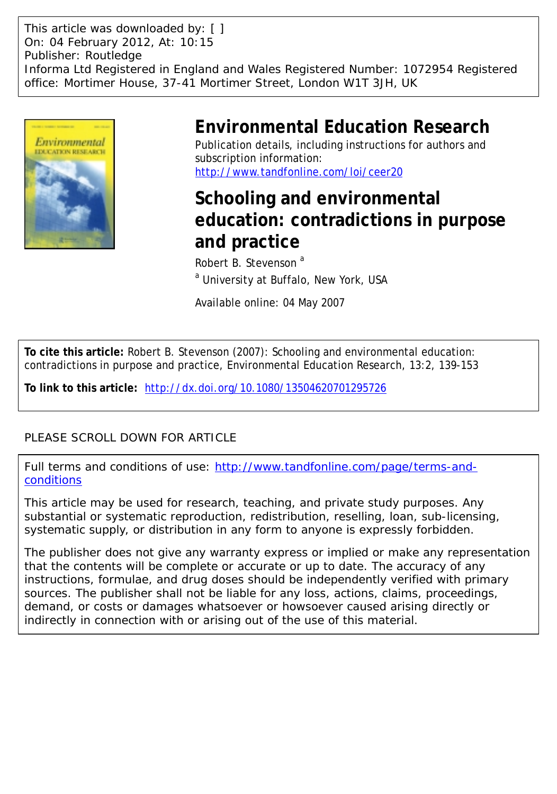This article was downloaded by: [] On: 04 February 2012, At: 10:15 Publisher: Routledge Informa Ltd Registered in England and Wales Registered Number: 1072954 Registered office: Mortimer House, 37-41 Mortimer Street, London W1T 3JH, UK



# **Environmental Education Research**

Publication details, including instructions for authors and subscription information: <http://www.tandfonline.com/loi/ceer20>

# **Schooling and environmental education: contradictions in purpose and practice**

Robert B. Stevenson<sup>a</sup> <sup>a</sup> University at Buffalo, New York, USA

Available online: 04 May 2007

**To cite this article:** Robert B. Stevenson (2007): Schooling and environmental education: contradictions in purpose and practice, Environmental Education Research, 13:2, 139-153

**To link to this article:** <http://dx.doi.org/10.1080/13504620701295726>

## PLEASE SCROLL DOWN FOR ARTICLE

Full terms and conditions of use: [http://www.tandfonline.com/page/terms-and](http://www.tandfonline.com/page/terms-and-conditions)[conditions](http://www.tandfonline.com/page/terms-and-conditions)

This article may be used for research, teaching, and private study purposes. Any substantial or systematic reproduction, redistribution, reselling, loan, sub-licensing, systematic supply, or distribution in any form to anyone is expressly forbidden.

The publisher does not give any warranty express or implied or make any representation that the contents will be complete or accurate or up to date. The accuracy of any instructions, formulae, and drug doses should be independently verified with primary sources. The publisher shall not be liable for any loss, actions, claims, proceedings, demand, or costs or damages whatsoever or howsoever caused arising directly or indirectly in connection with or arising out of the use of this material.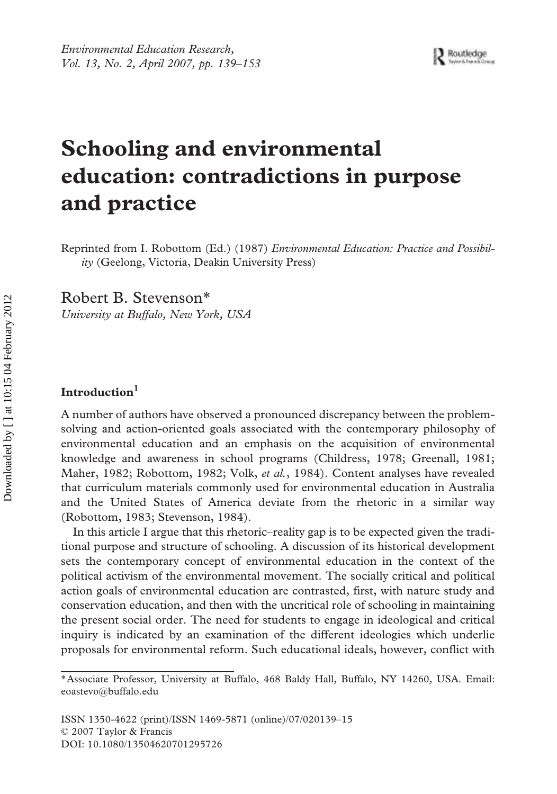# **Schooling and environmental education: contradictions in purpose and practice**

Reprinted from I. Robottom (Ed.) (1987) *Environmental Education: Practice and Possibility* (Geelong, Victoria, Deakin University Press)

Robert B. Stevenson\*

*University at Buffalo, New York, USA*

### **Introduction<sup>1</sup>**

A number of authors have observed a pronounced discrepancy between the problemsolving and action-oriented goals associated with the contemporary philosophy of environmental education and an emphasis on the acquisition of environmental knowledge and awareness in school programs (Childress, 1978; Greenall, 1981; Maher, 1982; Robottom, 1982; Volk, *et al.*, 1984). Content analyses have revealed that curriculum materials commonly used for environmental education in Australia and the United States of America deviate from the rhetoric in a similar way (Robottom, 1983; Stevenson, 1984).

In this article I argue that this rhetoric–reality gap is to be expected given the traditional purpose and structure of schooling. A discussion of its historical development sets the contemporary concept of environmental education in the context of the political activism of the environmental movement. The socially critical and political action goals of environmental education are contrasted, first, with nature study and conservation education, and then with the uncritical role of schooling in maintaining the present social order. The need for students to engage in ideological and critical inquiry is indicated by an examination of the different ideologies which underlie proposals for environmental reform. Such educational ideals, however, conflict with

<sup>\*</sup>Associate Professor, University at Buffalo, 468 Baldy Hall, Buffalo, NY 14260, USA. Email: eoastevo@buffalo.edu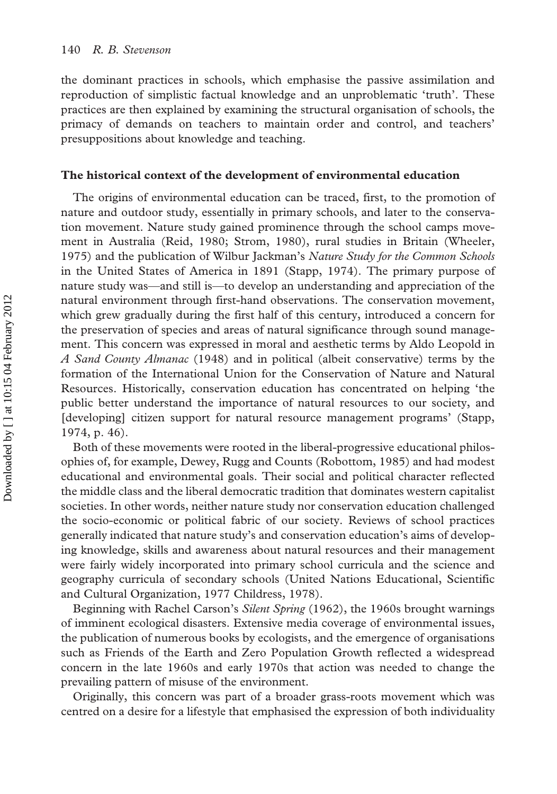the dominant practices in schools, which emphasise the passive assimilation and reproduction of simplistic factual knowledge and an unproblematic 'truth'. These practices are then explained by examining the structural organisation of schools, the primacy of demands on teachers to maintain order and control, and teachers' presuppositions about knowledge and teaching.

#### **The historical context of the development of environmental education**

The origins of environmental education can be traced, first, to the promotion of nature and outdoor study, essentially in primary schools, and later to the conservation movement. Nature study gained prominence through the school camps movement in Australia (Reid, 1980; Strom, 1980), rural studies in Britain (Wheeler, 1975) and the publication of Wilbur Jackman's *Nature Study for the Common Schools* in the United States of America in 1891 (Stapp, 1974). The primary purpose of nature study was—and still is—to develop an understanding and appreciation of the natural environment through first-hand observations. The conservation movement, which grew gradually during the first half of this century, introduced a concern for the preservation of species and areas of natural significance through sound management. This concern was expressed in moral and aesthetic terms by Aldo Leopold in *A Sand County Almanac* (1948) and in political (albeit conservative) terms by the formation of the International Union for the Conservation of Nature and Natural Resources. Historically, conservation education has concentrated on helping 'the public better understand the importance of natural resources to our society, and [developing] citizen support for natural resource management programs' (Stapp, 1974, p. 46).

Both of these movements were rooted in the liberal-progressive educational philosophies of, for example, Dewey, Rugg and Counts (Robottom, 1985) and had modest educational and environmental goals. Their social and political character reflected the middle class and the liberal democratic tradition that dominates western capitalist societies. In other words, neither nature study nor conservation education challenged the socio-economic or political fabric of our society. Reviews of school practices generally indicated that nature study's and conservation education's aims of developing knowledge, skills and awareness about natural resources and their management were fairly widely incorporated into primary school curricula and the science and geography curricula of secondary schools (United Nations Educational, Scientific and Cultural Organization, 1977 Childress, 1978).

Beginning with Rachel Carson's *Silent Spring* (1962), the 1960s brought warnings of imminent ecological disasters. Extensive media coverage of environmental issues, the publication of numerous books by ecologists, and the emergence of organisations such as Friends of the Earth and Zero Population Growth reflected a widespread concern in the late 1960s and early 1970s that action was needed to change the prevailing pattern of misuse of the environment.

Originally, this concern was part of a broader grass-roots movement which was centred on a desire for a lifestyle that emphasised the expression of both individuality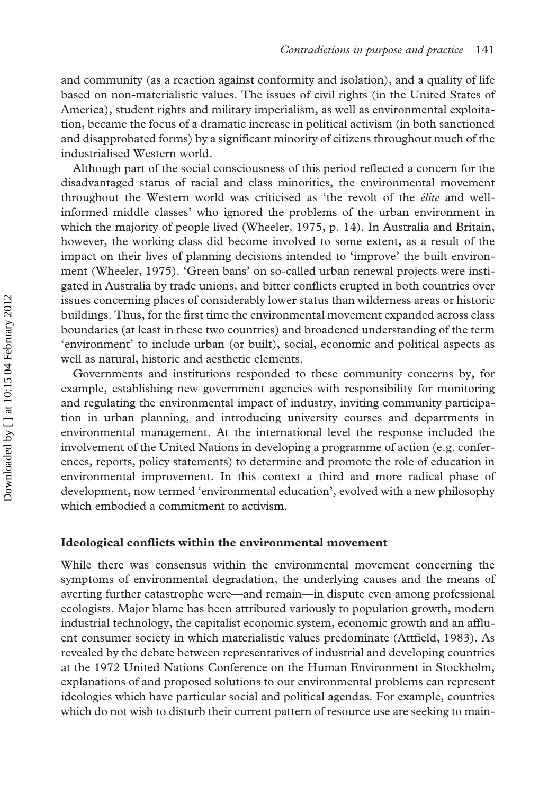and community (as a reaction against conformity and isolation), and a quality of life based on non-materialistic values. The issues of civil rights (in the United States of America), student rights and military imperialism, as well as environmental exploitation, became the focus of a dramatic increase in political activism (in both sanctioned and disapprobated forms) by a significant minority of citizens throughout much of the industrialised Western world.

Although part of the social consciousness of this period reflected a concern for the disadvantaged status of racial and class minorities, the environmental movement throughout the Western world was criticised as 'the revolt of the *élite* and wellinformed middle classes' who ignored the problems of the urban environment in which the majority of people lived (Wheeler, 1975, p. 14). In Australia and Britain, however, the working class did become involved to some extent, as a result of the impact on their lives of planning decisions intended to 'improve' the built environment (Wheeler, 1975). 'Green bans' on so-called urban renewal projects were instigated in Australia by trade unions, and bitter conflicts erupted in both countries over issues concerning places of considerably lower status than wilderness areas or historic buildings. Thus, for the first time the environmental movement expanded across class boundaries (at least in these two countries) and broadened understanding of the term 'environment' to include urban (or built), social, economic and political aspects as well as natural, historic and aesthetic elements.

Governments and institutions responded to these community concerns by, for example, establishing new government agencies with responsibility for monitoring and regulating the environmental impact of industry, inviting community participation in urban planning, and introducing university courses and departments in environmental management. At the international level the response included the involvement of the United Nations in developing a programme of action (e.g. conferences, reports, policy statements) to determine and promote the role of education in environmental improvement. In this context a third and more radical phase of development, now termed 'environmental education', evolved with a new philosophy which embodied a commitment to activism.

#### **Ideological conflicts within the environmental movement**

While there was consensus within the environmental movement concerning the symptoms of environmental degradation, the underlying causes and the means of averting further catastrophe were—and remain—in dispute even among professional ecologists. Major blame has been attributed variously to population growth, modern industrial technology, the capitalist economic system, economic growth and an affluent consumer society in which materialistic values predominate (Attfield, 1983). As revealed by the debate between representatives of industrial and developing countries at the 1972 United Nations Conference on the Human Environment in Stockholm, explanations of and proposed solutions to our environmental problems can represent ideologies which have particular social and political agendas. For example, countries which do not wish to disturb their current pattern of resource use are seeking to main-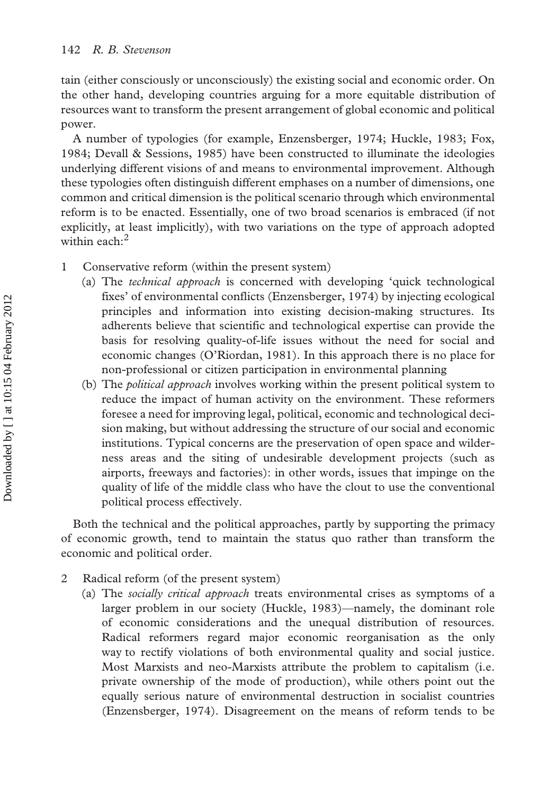tain (either consciously or unconsciously) the existing social and economic order. On the other hand, developing countries arguing for a more equitable distribution of resources want to transform the present arrangement of global economic and political power.

A number of typologies (for example, Enzensberger, 1974; Huckle, 1983; Fox, 1984; Devall & Sessions, 1985) have been constructed to illuminate the ideologies underlying different visions of and means to environmental improvement. Although these typologies often distinguish different emphases on a number of dimensions, one common and critical dimension is the political scenario through which environmental reform is to be enacted. Essentially, one of two broad scenarios is embraced (if not explicitly, at least implicitly), with two variations on the type of approach adopted within each: $2$ 

- 1 Conservative reform (within the present system)
	- (a) The *technical approach* is concerned with developing 'quick technological fixes' of environmental conflicts (Enzensberger, 1974) by injecting ecological principles and information into existing decision-making structures. Its adherents believe that scientific and technological expertise can provide the basis for resolving quality-of-life issues without the need for social and economic changes (O'Riordan, 1981). In this approach there is no place for non-professional or citizen participation in environmental planning
	- (b) The *political approach* involves working within the present political system to reduce the impact of human activity on the environment. These reformers foresee a need for improving legal, political, economic and technological decision making, but without addressing the structure of our social and economic institutions. Typical concerns are the preservation of open space and wilderness areas and the siting of undesirable development projects (such as airports, freeways and factories): in other words, issues that impinge on the quality of life of the middle class who have the clout to use the conventional political process effectively.

Both the technical and the political approaches, partly by supporting the primacy of economic growth, tend to maintain the status quo rather than transform the economic and political order.

- 2 Radical reform (of the present system)
	- (a) The *socially critical approach* treats environmental crises as symptoms of a larger problem in our society (Huckle, 1983)—namely, the dominant role of economic considerations and the unequal distribution of resources. Radical reformers regard major economic reorganisation as the only way to rectify violations of both environmental quality and social justice. Most Marxists and neo-Marxists attribute the problem to capitalism (i.e. private ownership of the mode of production), while others point out the equally serious nature of environmental destruction in socialist countries (Enzensberger, 1974). Disagreement on the means of reform tends to be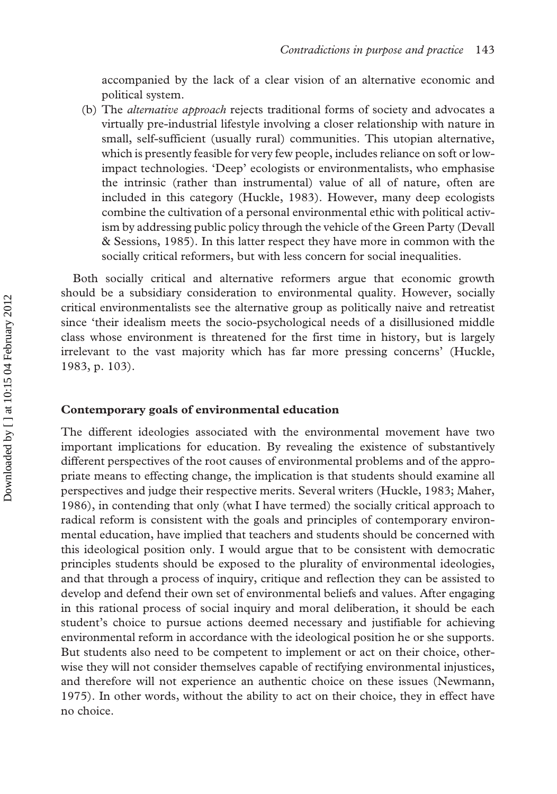accompanied by the lack of a clear vision of an alternative economic and political system.

(b) The *alternative approach* rejects traditional forms of society and advocates a virtually pre-industrial lifestyle involving a closer relationship with nature in small, self-sufficient (usually rural) communities. This utopian alternative, which is presently feasible for very few people, includes reliance on soft or lowimpact technologies. 'Deep' ecologists or environmentalists, who emphasise the intrinsic (rather than instrumental) value of all of nature, often are included in this category (Huckle, 1983). However, many deep ecologists combine the cultivation of a personal environmental ethic with political activism by addressing public policy through the vehicle of the Green Party (Devall & Sessions, 1985). In this latter respect they have more in common with the socially critical reformers, but with less concern for social inequalities.

Both socially critical and alternative reformers argue that economic growth should be a subsidiary consideration to environmental quality. However, socially critical environmentalists see the alternative group as politically naive and retreatist since 'their idealism meets the socio-psychological needs of a disillusioned middle class whose environment is threatened for the first time in history, but is largely irrelevant to the vast majority which has far more pressing concerns' (Huckle, 1983, p. 103).

#### **Contemporary goals of environmental education**

The different ideologies associated with the environmental movement have two important implications for education. By revealing the existence of substantively different perspectives of the root causes of environmental problems and of the appropriate means to effecting change, the implication is that students should examine all perspectives and judge their respective merits. Several writers (Huckle, 1983; Maher, 1986), in contending that only (what I have termed) the socially critical approach to radical reform is consistent with the goals and principles of contemporary environmental education, have implied that teachers and students should be concerned with this ideological position only. I would argue that to be consistent with democratic principles students should be exposed to the plurality of environmental ideologies, and that through a process of inquiry, critique and reflection they can be assisted to develop and defend their own set of environmental beliefs and values. After engaging in this rational process of social inquiry and moral deliberation, it should be each student's choice to pursue actions deemed necessary and justifiable for achieving environmental reform in accordance with the ideological position he or she supports. But students also need to be competent to implement or act on their choice, otherwise they will not consider themselves capable of rectifying environmental injustices, and therefore will not experience an authentic choice on these issues (Newmann, 1975). In other words, without the ability to act on their choice, they in effect have no choice.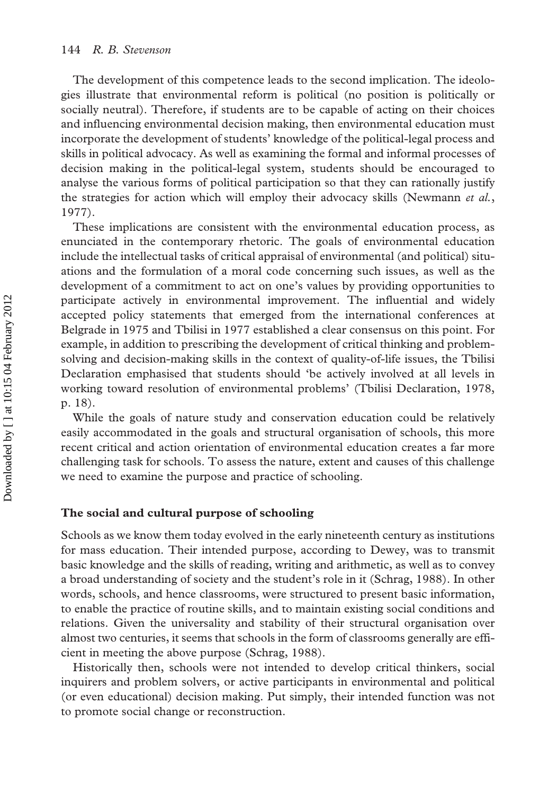The development of this competence leads to the second implication. The ideologies illustrate that environmental reform is political (no position is politically or socially neutral). Therefore, if students are to be capable of acting on their choices and influencing environmental decision making, then environmental education must incorporate the development of students' knowledge of the political-legal process and skills in political advocacy. As well as examining the formal and informal processes of decision making in the political-legal system, students should be encouraged to analyse the various forms of political participation so that they can rationally justify the strategies for action which will employ their advocacy skills (Newmann *et al.*, 1977).

These implications are consistent with the environmental education process, as enunciated in the contemporary rhetoric. The goals of environmental education include the intellectual tasks of critical appraisal of environmental (and political) situations and the formulation of a moral code concerning such issues, as well as the development of a commitment to act on one's values by providing opportunities to participate actively in environmental improvement. The influential and widely accepted policy statements that emerged from the international conferences at Belgrade in 1975 and Tbilisi in 1977 established a clear consensus on this point. For example, in addition to prescribing the development of critical thinking and problemsolving and decision-making skills in the context of quality-of-life issues, the Tbilisi Declaration emphasised that students should 'be actively involved at all levels in working toward resolution of environmental problems' (Tbilisi Declaration, 1978, p. 18).

While the goals of nature study and conservation education could be relatively easily accommodated in the goals and structural organisation of schools, this more recent critical and action orientation of environmental education creates a far more challenging task for schools. To assess the nature, extent and causes of this challenge we need to examine the purpose and practice of schooling.

#### **The social and cultural purpose of schooling**

Schools as we know them today evolved in the early nineteenth century as institutions for mass education. Their intended purpose, according to Dewey, was to transmit basic knowledge and the skills of reading, writing and arithmetic, as well as to convey a broad understanding of society and the student's role in it (Schrag, 1988). In other words, schools, and hence classrooms, were structured to present basic information, to enable the practice of routine skills, and to maintain existing social conditions and relations. Given the universality and stability of their structural organisation over almost two centuries, it seems that schools in the form of classrooms generally are efficient in meeting the above purpose (Schrag, 1988).

Historically then, schools were not intended to develop critical thinkers, social inquirers and problem solvers, or active participants in environmental and political (or even educational) decision making. Put simply, their intended function was not to promote social change or reconstruction.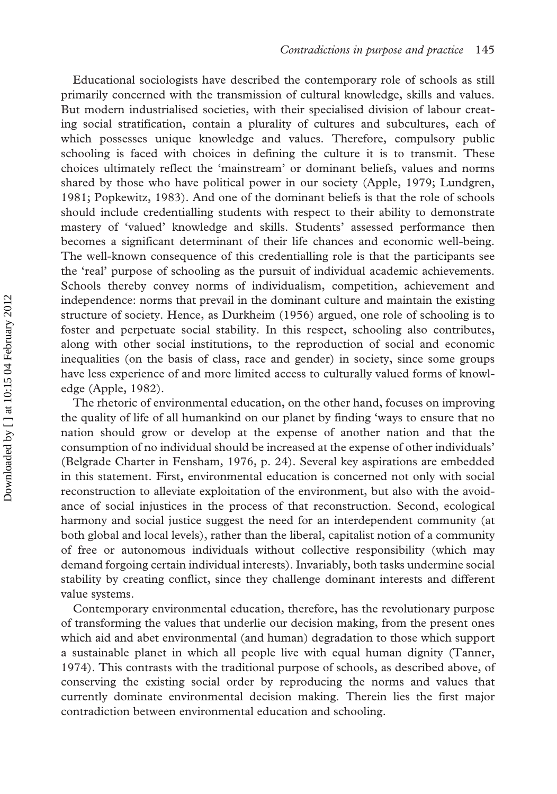Educational sociologists have described the contemporary role of schools as still primarily concerned with the transmission of cultural knowledge, skills and values. But modern industrialised societies, with their specialised division of labour creating social stratification, contain a plurality of cultures and subcultures, each of which possesses unique knowledge and values. Therefore, compulsory public schooling is faced with choices in defining the culture it is to transmit. These choices ultimately reflect the 'mainstream' or dominant beliefs, values and norms shared by those who have political power in our society (Apple, 1979; Lundgren, 1981; Popkewitz, 1983). And one of the dominant beliefs is that the role of schools should include credentialling students with respect to their ability to demonstrate mastery of 'valued' knowledge and skills. Students' assessed performance then becomes a significant determinant of their life chances and economic well-being. The well-known consequence of this credentialling role is that the participants see the 'real' purpose of schooling as the pursuit of individual academic achievements. Schools thereby convey norms of individualism, competition, achievement and independence: norms that prevail in the dominant culture and maintain the existing structure of society. Hence, as Durkheim (1956) argued, one role of schooling is to foster and perpetuate social stability. In this respect, schooling also contributes, along with other social institutions, to the reproduction of social and economic inequalities (on the basis of class, race and gender) in society, since some groups have less experience of and more limited access to culturally valued forms of knowledge (Apple, 1982).

The rhetoric of environmental education, on the other hand, focuses on improving the quality of life of all humankind on our planet by finding 'ways to ensure that no nation should grow or develop at the expense of another nation and that the consumption of no individual should be increased at the expense of other individuals' (Belgrade Charter in Fensham, 1976, p. 24). Several key aspirations are embedded in this statement. First, environmental education is concerned not only with social reconstruction to alleviate exploitation of the environment, but also with the avoidance of social injustices in the process of that reconstruction. Second, ecological harmony and social justice suggest the need for an interdependent community (at both global and local levels), rather than the liberal, capitalist notion of a community of free or autonomous individuals without collective responsibility (which may demand forgoing certain individual interests). Invariably, both tasks undermine social stability by creating conflict, since they challenge dominant interests and different value systems.

Contemporary environmental education, therefore, has the revolutionary purpose of transforming the values that underlie our decision making, from the present ones which aid and abet environmental (and human) degradation to those which support a sustainable planet in which all people live with equal human dignity (Tanner, 1974). This contrasts with the traditional purpose of schools, as described above, of conserving the existing social order by reproducing the norms and values that currently dominate environmental decision making. Therein lies the first major contradiction between environmental education and schooling.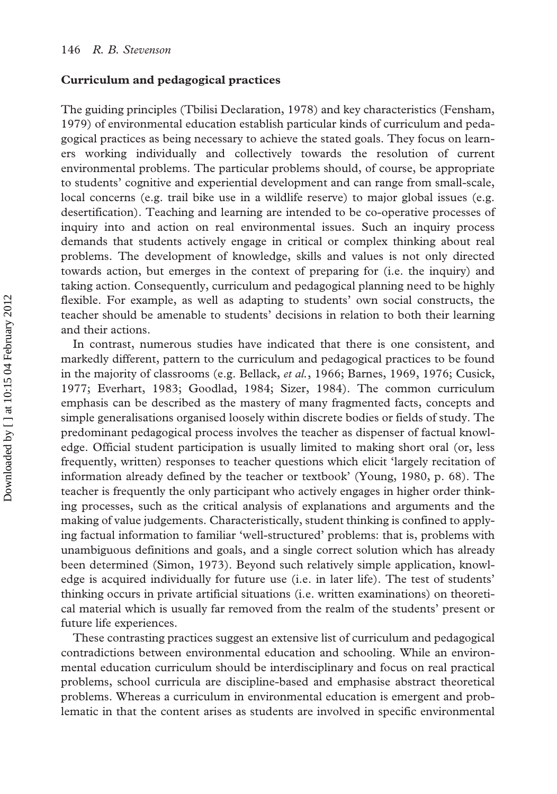#### **Curriculum and pedagogical practices**

The guiding principles (Tbilisi Declaration, 1978) and key characteristics (Fensham, 1979) of environmental education establish particular kinds of curriculum and pedagogical practices as being necessary to achieve the stated goals. They focus on learners working individually and collectively towards the resolution of current environmental problems. The particular problems should, of course, be appropriate to students' cognitive and experiential development and can range from small-scale, local concerns (e.g. trail bike use in a wildlife reserve) to major global issues (e.g. desertification). Teaching and learning are intended to be co-operative processes of inquiry into and action on real environmental issues. Such an inquiry process demands that students actively engage in critical or complex thinking about real problems. The development of knowledge, skills and values is not only directed towards action, but emerges in the context of preparing for (i.e. the inquiry) and taking action. Consequently, curriculum and pedagogical planning need to be highly flexible. For example, as well as adapting to students' own social constructs, the teacher should be amenable to students' decisions in relation to both their learning and their actions.

In contrast, numerous studies have indicated that there is one consistent, and markedly different, pattern to the curriculum and pedagogical practices to be found in the majority of classrooms (e.g. Bellack, *et al.*, 1966; Barnes, 1969, 1976; Cusick, 1977; Everhart, 1983; Goodlad, 1984; Sizer, 1984). The common curriculum emphasis can be described as the mastery of many fragmented facts, concepts and simple generalisations organised loosely within discrete bodies or fields of study. The predominant pedagogical process involves the teacher as dispenser of factual knowledge. Official student participation is usually limited to making short oral (or, less frequently, written) responses to teacher questions which elicit 'largely recitation of information already defined by the teacher or textbook' (Young, 1980, p. 68). The teacher is frequently the only participant who actively engages in higher order thinking processes, such as the critical analysis of explanations and arguments and the making of value judgements. Characteristically, student thinking is confined to applying factual information to familiar 'well-structured' problems: that is, problems with unambiguous definitions and goals, and a single correct solution which has already been determined (Simon, 1973). Beyond such relatively simple application, knowledge is acquired individually for future use (i.e. in later life). The test of students' thinking occurs in private artificial situations (i.e. written examinations) on theoretical material which is usually far removed from the realm of the students' present or future life experiences.

These contrasting practices suggest an extensive list of curriculum and pedagogical contradictions between environmental education and schooling. While an environmental education curriculum should be interdisciplinary and focus on real practical problems, school curricula are discipline-based and emphasise abstract theoretical problems. Whereas a curriculum in environmental education is emergent and problematic in that the content arises as students are involved in specific environmental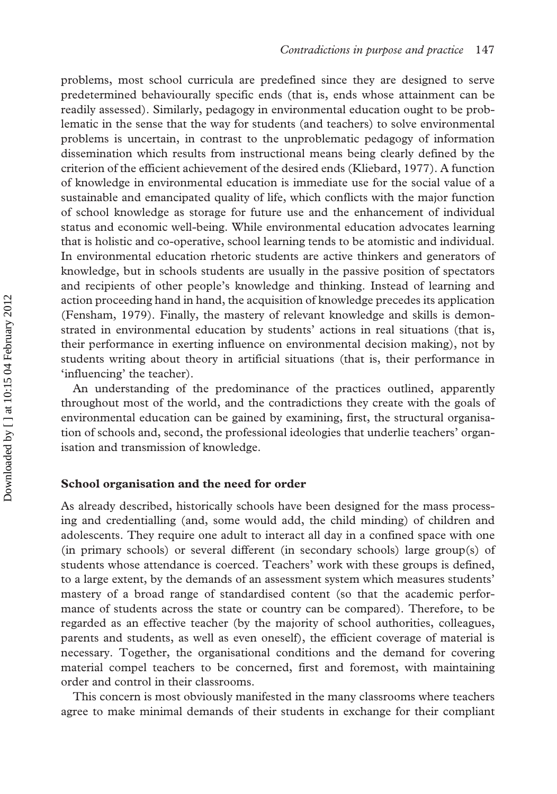problems, most school curricula are predefined since they are designed to serve predetermined behaviourally specific ends (that is, ends whose attainment can be readily assessed). Similarly, pedagogy in environmental education ought to be problematic in the sense that the way for students (and teachers) to solve environmental problems is uncertain, in contrast to the unproblematic pedagogy of information dissemination which results from instructional means being clearly defined by the criterion of the efficient achievement of the desired ends (Kliebard, 1977). A function of knowledge in environmental education is immediate use for the social value of a sustainable and emancipated quality of life, which conflicts with the major function of school knowledge as storage for future use and the enhancement of individual status and economic well-being. While environmental education advocates learning that is holistic and co-operative, school learning tends to be atomistic and individual. In environmental education rhetoric students are active thinkers and generators of knowledge, but in schools students are usually in the passive position of spectators and recipients of other people's knowledge and thinking. Instead of learning and action proceeding hand in hand, the acquisition of knowledge precedes its application (Fensham, 1979). Finally, the mastery of relevant knowledge and skills is demonstrated in environmental education by students' actions in real situations (that is, their performance in exerting influence on environmental decision making), not by students writing about theory in artificial situations (that is, their performance in 'influencing' the teacher).

An understanding of the predominance of the practices outlined, apparently throughout most of the world, and the contradictions they create with the goals of environmental education can be gained by examining, first, the structural organisation of schools and, second, the professional ideologies that underlie teachers' organisation and transmission of knowledge.

#### **School organisation and the need for order**

As already described, historically schools have been designed for the mass processing and credentialling (and, some would add, the child minding) of children and adolescents. They require one adult to interact all day in a confined space with one (in primary schools) or several different (in secondary schools) large group(s) of students whose attendance is coerced. Teachers' work with these groups is defined, to a large extent, by the demands of an assessment system which measures students' mastery of a broad range of standardised content (so that the academic performance of students across the state or country can be compared). Therefore, to be regarded as an effective teacher (by the majority of school authorities, colleagues, parents and students, as well as even oneself), the efficient coverage of material is necessary. Together, the organisational conditions and the demand for covering material compel teachers to be concerned, first and foremost, with maintaining order and control in their classrooms.

This concern is most obviously manifested in the many classrooms where teachers agree to make minimal demands of their students in exchange for their compliant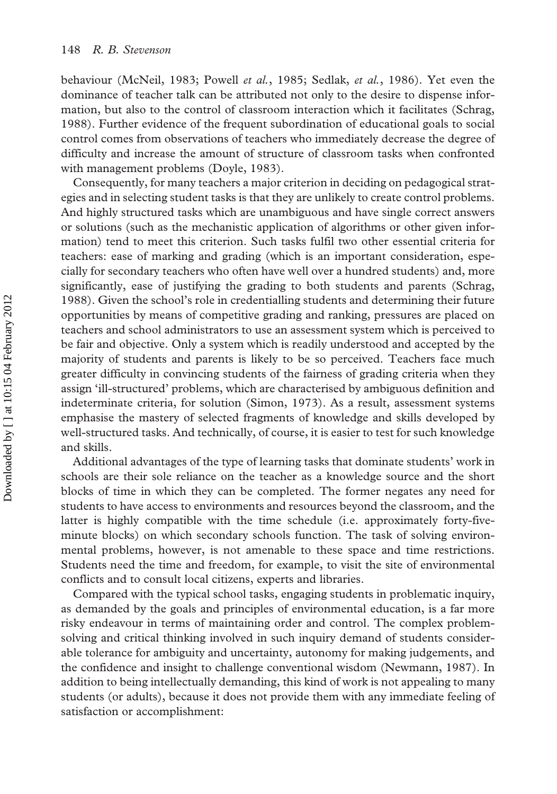behaviour (McNeil, 1983; Powell *et al.*, 1985; Sedlak, *et al.*, 1986). Yet even the dominance of teacher talk can be attributed not only to the desire to dispense information, but also to the control of classroom interaction which it facilitates (Schrag, 1988). Further evidence of the frequent subordination of educational goals to social control comes from observations of teachers who immediately decrease the degree of difficulty and increase the amount of structure of classroom tasks when confronted with management problems (Doyle, 1983).

Consequently, for many teachers a major criterion in deciding on pedagogical strategies and in selecting student tasks is that they are unlikely to create control problems. And highly structured tasks which are unambiguous and have single correct answers or solutions (such as the mechanistic application of algorithms or other given information) tend to meet this criterion. Such tasks fulfil two other essential criteria for teachers: ease of marking and grading (which is an important consideration, especially for secondary teachers who often have well over a hundred students) and, more significantly, ease of justifying the grading to both students and parents (Schrag, 1988). Given the school's role in credentialling students and determining their future opportunities by means of competitive grading and ranking, pressures are placed on teachers and school administrators to use an assessment system which is perceived to be fair and objective. Only a system which is readily understood and accepted by the majority of students and parents is likely to be so perceived. Teachers face much greater difficulty in convincing students of the fairness of grading criteria when they assign 'ill-structured' problems, which are characterised by ambiguous definition and indeterminate criteria, for solution (Simon, 1973). As a result, assessment systems emphasise the mastery of selected fragments of knowledge and skills developed by well-structured tasks. And technically, of course, it is easier to test for such knowledge and skills.

Additional advantages of the type of learning tasks that dominate students' work in schools are their sole reliance on the teacher as a knowledge source and the short blocks of time in which they can be completed. The former negates any need for students to have access to environments and resources beyond the classroom, and the latter is highly compatible with the time schedule (i.e. approximately forty-fiveminute blocks) on which secondary schools function. The task of solving environmental problems, however, is not amenable to these space and time restrictions. Students need the time and freedom, for example, to visit the site of environmental conflicts and to consult local citizens, experts and libraries.

Compared with the typical school tasks, engaging students in problematic inquiry, as demanded by the goals and principles of environmental education, is a far more risky endeavour in terms of maintaining order and control. The complex problemsolving and critical thinking involved in such inquiry demand of students considerable tolerance for ambiguity and uncertainty, autonomy for making judgements, and the confidence and insight to challenge conventional wisdom (Newmann, 1987). In addition to being intellectually demanding, this kind of work is not appealing to many students (or adults), because it does not provide them with any immediate feeling of satisfaction or accomplishment: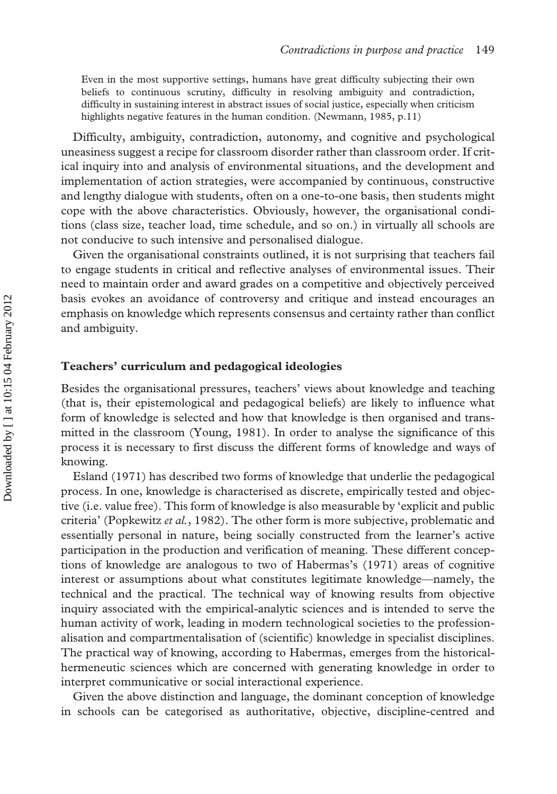Even in the most supportive settings, humans have great difficulty subjecting their own beliefs to continuous scrutiny, difficulty in resolving ambiguity and contradiction, difficulty in sustaining interest in abstract issues of social justice, especially when criticism highlights negative features in the human condition. (Newmann, 1985, p.11)

Difficulty, ambiguity, contradiction, autonomy, and cognitive and psychological uneasiness suggest a recipe for classroom disorder rather than classroom order. If critical inquiry into and analysis of environmental situations, and the development and implementation of action strategies, were accompanied by continuous, constructive and lengthy dialogue with students, often on a one-to-one basis, then students might cope with the above characteristics. Obviously, however, the organisational conditions (class size, teacher load, time schedule, and so on.) in virtually all schools are not conducive to such intensive and personalised dialogue.

Given the organisational constraints outlined, it is not surprising that teachers fail to engage students in critical and reflective analyses of environmental issues. Their need to maintain order and award grades on a competitive and objectively perceived basis evokes an avoidance of controversy and critique and instead encourages an emphasis on knowledge which represents consensus and certainty rather than conflict and ambiguity.

#### **Teachers' curriculum and pedagogical ideologies**

Besides the organisational pressures, teachers' views about knowledge and teaching (that is, their epistemological and pedagogical beliefs) are likely to influence what form of knowledge is selected and how that knowledge is then organised and transmitted in the classroom (Young, 1981). In order to analyse the significance of this process it is necessary to first discuss the different forms of knowledge and ways of knowing.

Esland (1971) has described two forms of knowledge that underlie the pedagogical process. In one, knowledge is characterised as discrete, empirically tested and objective (i.e. value free). This form of knowledge is also measurable by 'explicit and public criteria' (Popkewitz *et al.*, 1982). The other form is more subjective, problematic and essentially personal in nature, being socially constructed from the learner's active participation in the production and verification of meaning. These different conceptions of knowledge are analogous to two of Habermas's (1971) areas of cognitive interest or assumptions about what constitutes legitimate knowledge—namely, the technical and the practical. The technical way of knowing results from objective inquiry associated with the empirical-analytic sciences and is intended to serve the human activity of work, leading in modern technological societies to the professionalisation and compartmentalisation of (scientific) knowledge in specialist disciplines. The practical way of knowing, according to Habermas, emerges from the historicalhermeneutic sciences which are concerned with generating knowledge in order to interpret communicative or social interactional experience.

Given the above distinction and language, the dominant conception of knowledge in schools can be categorised as authoritative, objective, discipline-centred and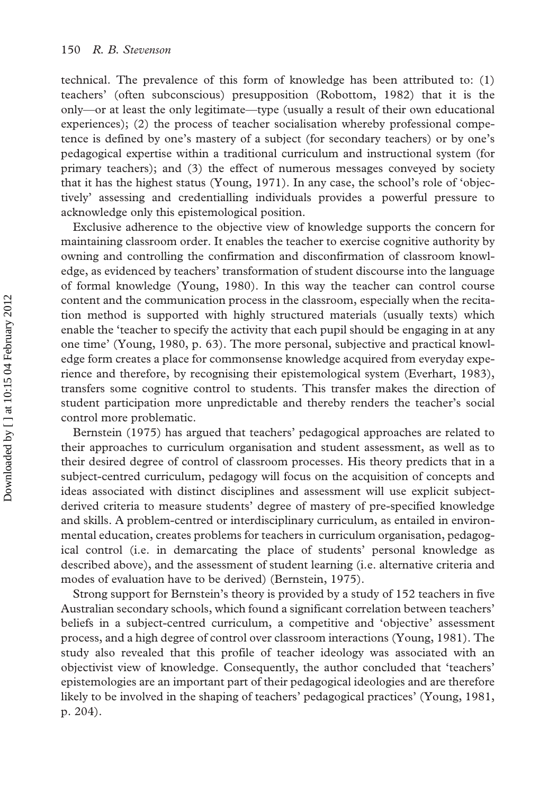technical. The prevalence of this form of knowledge has been attributed to: (1) teachers' (often subconscious) presupposition (Robottom, 1982) that it is the only—or at least the only legitimate—type (usually a result of their own educational experiences); (2) the process of teacher socialisation whereby professional competence is defined by one's mastery of a subject (for secondary teachers) or by one's pedagogical expertise within a traditional curriculum and instructional system (for primary teachers); and (3) the effect of numerous messages conveyed by society that it has the highest status (Young, 1971). In any case, the school's role of 'objectively' assessing and credentialling individuals provides a powerful pressure to acknowledge only this epistemological position.

Exclusive adherence to the objective view of knowledge supports the concern for maintaining classroom order. It enables the teacher to exercise cognitive authority by owning and controlling the confirmation and disconfirmation of classroom knowledge, as evidenced by teachers' transformation of student discourse into the language of formal knowledge (Young, 1980). In this way the teacher can control course content and the communication process in the classroom, especially when the recitation method is supported with highly structured materials (usually texts) which enable the 'teacher to specify the activity that each pupil should be engaging in at any one time' (Young, 1980, p. 63). The more personal, subjective and practical knowledge form creates a place for commonsense knowledge acquired from everyday experience and therefore, by recognising their epistemological system (Everhart, 1983), transfers some cognitive control to students. This transfer makes the direction of student participation more unpredictable and thereby renders the teacher's social control more problematic.

Bernstein (1975) has argued that teachers' pedagogical approaches are related to their approaches to curriculum organisation and student assessment, as well as to their desired degree of control of classroom processes. His theory predicts that in a subject-centred curriculum, pedagogy will focus on the acquisition of concepts and ideas associated with distinct disciplines and assessment will use explicit subjectderived criteria to measure students' degree of mastery of pre-specified knowledge and skills. A problem-centred or interdisciplinary curriculum, as entailed in environmental education, creates problems for teachers in curriculum organisation, pedagogical control (i.e. in demarcating the place of students' personal knowledge as described above), and the assessment of student learning (i.e. alternative criteria and modes of evaluation have to be derived) (Bernstein, 1975).

Strong support for Bernstein's theory is provided by a study of 152 teachers in five Australian secondary schools, which found a significant correlation between teachers' beliefs in a subject-centred curriculum, a competitive and 'objective' assessment process, and a high degree of control over classroom interactions (Young, 1981). The study also revealed that this profile of teacher ideology was associated with an objectivist view of knowledge. Consequently, the author concluded that 'teachers' epistemologies are an important part of their pedagogical ideologies and are therefore likely to be involved in the shaping of teachers' pedagogical practices' (Young, 1981, p. 204).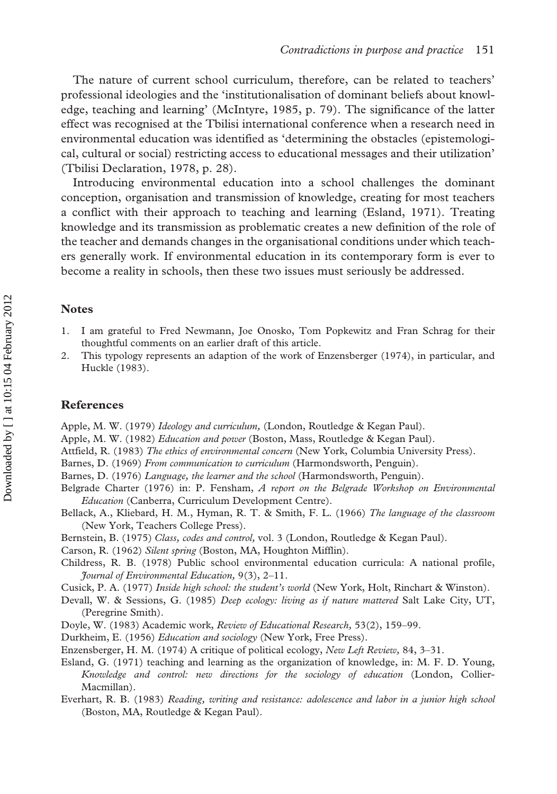The nature of current school curriculum, therefore, can be related to teachers' professional ideologies and the 'institutionalisation of dominant beliefs about knowledge, teaching and learning' (McIntyre, 1985, p. 79). The significance of the latter effect was recognised at the Tbilisi international conference when a research need in environmental education was identified as 'determining the obstacles (epistemological, cultural or social) restricting access to educational messages and their utilization' (Tbilisi Declaration, 1978, p. 28).

Introducing environmental education into a school challenges the dominant conception, organisation and transmission of knowledge, creating for most teachers a conflict with their approach to teaching and learning (Esland, 1971). Treating knowledge and its transmission as problematic creates a new definition of the role of the teacher and demands changes in the organisational conditions under which teachers generally work. If environmental education in its contemporary form is ever to become a reality in schools, then these two issues must seriously be addressed.

#### **Notes**

- 1. I am grateful to Fred Newmann, Joe Onosko, Tom Popkewitz and Fran Schrag for their thoughtful comments on an earlier draft of this article.
- 2. This typology represents an adaption of the work of Enzensberger (1974), in particular, and Huckle (1983).

#### **References**

Apple, M. W. (1979) *Ideology and curriculum,* (London, Routledge & Kegan Paul).

Apple, M. W. (1982) *Education and power* (Boston, Mass, Routledge & Kegan Paul).

Attfield, R. (1983) *The ethics of environmental concern* (New York, Columbia University Press).

Barnes, D. (1969) *From communication to curriculum* (Harmondsworth, Penguin).

- Barnes, D. (1976) *Language, the learner and the school* (Harmondsworth, Penguin).
- Belgrade Charter (1976) in: P. Fensham, *A report on the Belgrade Workshop on Environmental Education* (Canberra, Curriculum Development Centre).
- Bellack, A., Kliebard, H. M., Hyman, R. T. & Smith, F. L. (1966) *The language of the classroom* (New York, Teachers College Press).
- Bernstein, B. (1975) *Class, codes and control,* vol. 3 (London, Routledge & Kegan Paul).
- Carson, R. (1962) *Silent spring* (Boston, MA, Houghton Mifflin).
- Childress, R. B. (1978) Public school environmental education curricula: A national profile, *Journal of Environmental Education,* 9(3), 2–11.
- Cusick, P. A. (1977) *Inside high school: the student's world* (New York, Holt, Rinchart & Winston).
- Devall, W. & Sessions, G. (1985) *Deep ecology: living as if nature mattered* Salt Lake City, UT, (Peregrine Smith).
- Doyle, W. (1983) Academic work, *Review of Educational Research,* 53(2), 159–99.
- Durkheim, E. (1956) *Education and sociology* (New York, Free Press).
- Enzensberger, H. M. (1974) A critique of political ecology, *New Left Review,* 84, 3–31.
- Esland, G. (1971) teaching and learning as the organization of knowledge, in: M. F. D. Young, *Knowledge and control: new directions for the sociology of education* (London, Collier-Macmillan).
- Everhart, R. B. (1983) *Reading, writing and resistance: adolescence and labor in a junior high school* (Boston, MA, Routledge & Kegan Paul).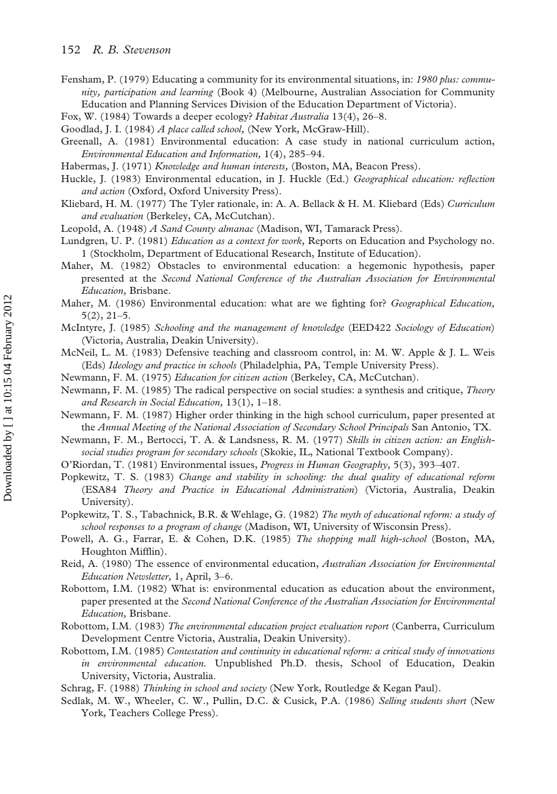#### 152 *R. B. Stevenson*

Fensham, P. (1979) Educating a community for its environmental situations, in: *1980 plus: community, participation and learning* (Book 4) (Melbourne, Australian Association for Community Education and Planning Services Division of the Education Department of Victoria).

Fox, W. (1984) Towards a deeper ecology? *Habitat Australia* 13(4), 26–8.

Goodlad, J. I. (1984) *A place called school,* (New York, McGraw-Hill).

Greenall, A. (1981) Environmental education: A case study in national curriculum action, *Environmental Education and Information,* 1(4), 285–94.

Habermas, J. (1971) *Knowledge and human interests,* (Boston, MA, Beacon Press).

Huckle, J. (1983) Environmental education, in J. Huckle (Ed.) *Geographical education: reflection and action* (Oxford, Oxford University Press).

Kliebard, H. M. (1977) The Tyler rationale, in: A. A. Bellack & H. M. Kliebard (Eds) *Curriculum and evaluation* (Berkeley, CA, McCutchan).

Leopold, A. (1948) *A Sand County almanac* (Madison, WI, Tamarack Press).

Lundgren, U. P. (1981) *Education as a context for work,* Reports on Education and Psychology no. 1 (Stockholm, Department of Educational Research, Institute of Education).

Maher, M. (1982) Obstacles to environmental education: a hegemonic hypothesis, paper presented at the *Second National Conference of the Australian Association for Environmental Education,* Brisbane.

Maher, M. (1986) Environmental education: what are we fighting for? *Geographical Education,* 5(2), 21–5.

McIntyre, J. (1985) *Schooling and the management of knowledge* (EED422 *Sociology of Education*) (Victoria, Australia, Deakin University).

McNeil, L. M. (1983) Defensive teaching and classroom control, in: M. W. Apple & J. L. Weis (Eds) *Ideology and practice in schools* (Philadelphia, PA, Temple University Press).

Newmann, F. M. (1975) *Education for citizen action* (Berkeley, CA, McCutchan).

Newmann, F. M. (1985) The radical perspective on social studies: a synthesis and critique, *Theory and Research in Social Education,* 13(1), 1–18.

Newmann, F. M. (1987) Higher order thinking in the high school curriculum, paper presented at the *Annual Meeting of the National Association of Secondary School Principals* San Antonio, TX.

Newmann, F. M., Bertocci, T. A. & Landsness, R. M. (1977) *Skills in citizen action: an Englishsocial studies program for secondary schools* (Skokie, IL, National Textbook Company).

O'Riordan, T. (1981) Environmental issues, *Progress in Human Geography,* 5(3), 393–407.

Popkewitz, T. S. (1983) *Change and stability in schooling: the dual quality of educational reform* (ESA84 *Theory and Practice in Educational Administration*) (Victoria, Australia, Deakin University).

Popkewitz, T. S., Tabachnick, B.R. & Wehlage, G. (1982) *The myth of educational reform: a study of school responses to a program of change* (Madison, WI, University of Wisconsin Press).

Powell, A. G., Farrar, E. & Cohen, D.K. (1985) *The shopping mall high-school* (Boston, MA, Houghton Mifflin).

Reid, A. (1980) The essence of environmental education, *Australian Association for Environmental Education Newsletter,* 1, April, 3–6.

Robottom, I.M. (1982) What is: environmental education as education about the environment, paper presented at the *Second National Conference of the Australian Association for Environmental Education,* Brisbane.

Robottom, I.M. (1983) *The environmental education project evaluation report* (Canberra, Curriculum Development Centre Victoria, Australia, Deakin University).

Robottom, I.M. (1985) *Contestation and continuity in educational reform: a critical study of innovations in environmental education.* Unpublished Ph.D. thesis, School of Education, Deakin University, Victoria, Australia.

Schrag, F. (1988) *Thinking in school and society* (New York, Routledge & Kegan Paul).

Sedlak, M. W., Wheeler, C. W., Pullin, D.C. & Cusick, P.A. (1986) *Selling students short* (New York, Teachers College Press).